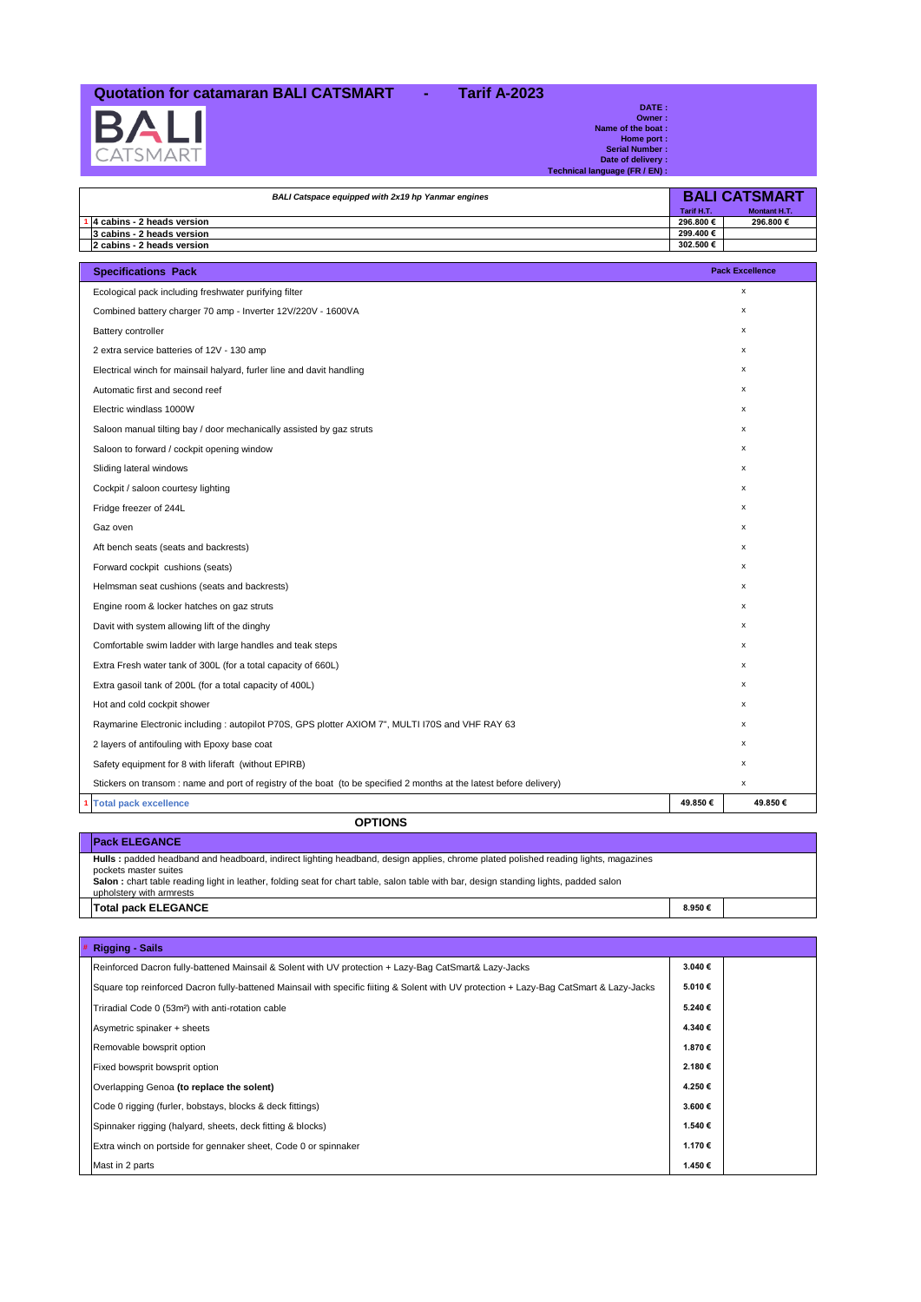## **Quotation for catamaran BALI CATSMART - Tarif A-2023**



Г

**DATE :<br>
Owner :**<br> **Name of the boat :<br>
Home port :<br>
Serial Number :<br>
Date of delivery :<br>
Technical language (FR / EN) :** 

| BALI Catspace equipped with 2x19 hp Yanmar engines |                   | <b>BALI CATSMART</b> |
|----------------------------------------------------|-------------------|----------------------|
|                                                    | <b>Tarif H.T.</b> | Montant H.T.         |
| $\cdot$ 4 cabins - 2 heads version                 | 296.800€          | 296.800€             |
| 3 cabins - 2 heads version                         | 299.400€          |                      |
| 2 cabins - 2 heads version                         | 302.500€          |                      |
|                                                    |                   |                      |

| <b>Specifications Pack</b>                                                                                          | <b>Pack Excellence</b> |  |
|---------------------------------------------------------------------------------------------------------------------|------------------------|--|
| Ecological pack including freshwater purifying filter                                                               | x                      |  |
| Combined battery charger 70 amp - Inverter 12V/220V - 1600VA                                                        | x                      |  |
| Battery controller                                                                                                  | $\mathsf{x}$           |  |
| 2 extra service batteries of 12V - 130 amp                                                                          | $\mathsf{x}$           |  |
| Electrical winch for mainsail halyard, furler line and davit handling                                               | x                      |  |
| Automatic first and second reef                                                                                     | x                      |  |
| Electric windlass 1000W                                                                                             | $\mathsf{x}$           |  |
| Saloon manual tilting bay / door mechanically assisted by gaz struts                                                | x                      |  |
| Saloon to forward / cockpit opening window                                                                          | $\mathsf{x}$           |  |
| Sliding lateral windows                                                                                             | $\mathsf{x}$           |  |
| Cockpit / saloon courtesy lighting                                                                                  | x                      |  |
| Fridge freezer of 244L                                                                                              | x                      |  |
| Gaz oven                                                                                                            | x                      |  |
| Aft bench seats (seats and backrests)                                                                               | x                      |  |
| Forward cockpit cushions (seats)                                                                                    | x                      |  |
| Helmsman seat cushions (seats and backrests)                                                                        | x                      |  |
| Engine room & locker hatches on gaz struts                                                                          | $\mathsf{x}$           |  |
| Davit with system allowing lift of the dinghy                                                                       | x                      |  |
| Comfortable swim ladder with large handles and teak steps                                                           | x                      |  |
| Extra Fresh water tank of 300L (for a total capacity of 660L)                                                       | x                      |  |
| Extra gasoil tank of 200L (for a total capacity of 400L)                                                            | x                      |  |
| Hot and cold cockpit shower                                                                                         | $\mathsf{x}$           |  |
| Raymarine Electronic including : autopilot P70S, GPS plotter AXIOM 7", MULTI I70S and VHF RAY 63                    | $\mathsf{x}$           |  |
| 2 layers of antifouling with Epoxy base coat                                                                        | x                      |  |
| Safety equipment for 8 with liferaft (without EPIRB)                                                                | x                      |  |
| Stickers on transom: name and port of registry of the boat (to be specified 2 months at the latest before delivery) | x                      |  |
| <b>Total pack excellence</b>                                                                                        | 49.850€<br>49.850€     |  |
| <b>OPTIONS</b>                                                                                                      |                        |  |

**OPTIONS Pack ELEGANCE Hulls :** padded headband and headboard, indirect lighting headband, design applies, chrome plated polished reading lights, magazines pockets master suites<br>**Salon** : chart table reading light in leather, folding seat for chart table, salon table with bar, design standing lights, padded salon<br>upholstery with armrests **Total pack ELEGANCE 8.950 €**

| <b>Example 1</b> Rigging - Sails                              |                                                                                                                                         |         |  |
|---------------------------------------------------------------|-----------------------------------------------------------------------------------------------------------------------------------------|---------|--|
|                                                               | Reinforced Dacron fully-battened Mainsail & Solent with UV protection + Lazy-Bag CatSmart& Lazy-Jacks                                   | 3.040 € |  |
|                                                               | Square top reinforced Dacron fully-battened Mainsail with specific fiiting & Solent with UV protection + Lazy-Bag CatSmart & Lazy-Jacks | 5.010€  |  |
| Triradial Code 0 (53m <sup>2</sup> ) with anti-rotation cable |                                                                                                                                         | 5.240 € |  |
| Asymetric spinaker + sheets                                   |                                                                                                                                         | 4.340 € |  |
| Removable bowsprit option                                     |                                                                                                                                         | 1.870€  |  |
| Fixed bowsprit bowsprit option                                |                                                                                                                                         | 2.180€  |  |
| Overlapping Genoa (to replace the solent)                     |                                                                                                                                         | 4.250€  |  |
|                                                               | Code 0 rigging (furler, bobstays, blocks & deck fittings)                                                                               | 3.600€  |  |
|                                                               | Spinnaker rigging (halyard, sheets, deck fitting & blocks)                                                                              | 1.540€  |  |
|                                                               | Extra winch on portside for gennaker sheet, Code 0 or spinnaker                                                                         | 1.170€  |  |
| Mast in 2 parts                                               |                                                                                                                                         | 1.450€  |  |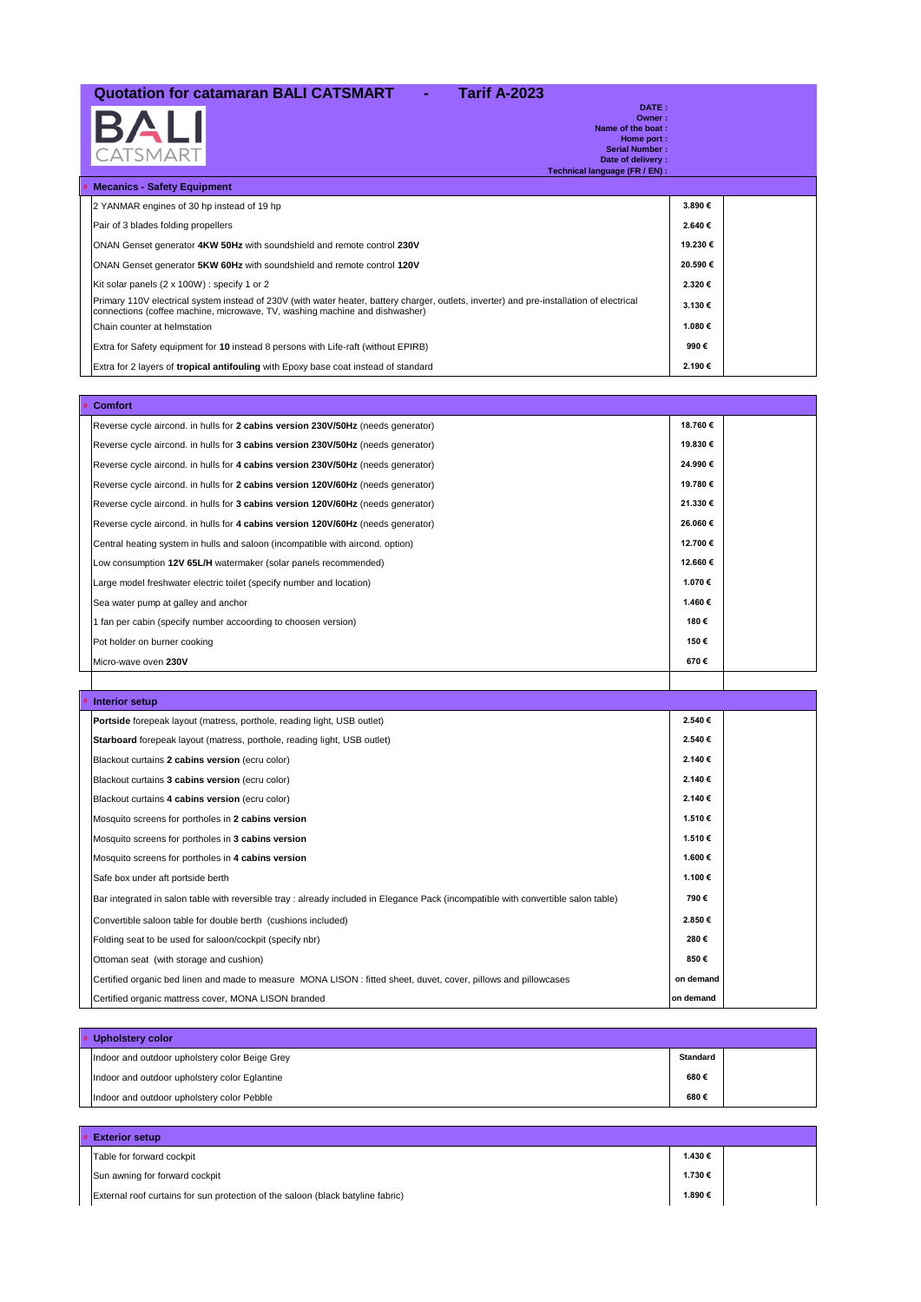## **Quotation for catamaran BALI CATSMART - Tarif A-2023**

|   | BALI<br><b>CATSMART</b><br>Technical language (FR / EN) :                                                                                                                                                                | DATE:<br>Owner:<br>Name of the boat:<br>Home port:<br><b>Serial Number:</b><br>Date of delivery: |  |
|---|--------------------------------------------------------------------------------------------------------------------------------------------------------------------------------------------------------------------------|--------------------------------------------------------------------------------------------------|--|
| # | <b>Mecanics - Safety Equipment</b>                                                                                                                                                                                       |                                                                                                  |  |
|   | 2 YANMAR engines of 30 hp instead of 19 hp                                                                                                                                                                               | 3.890€                                                                                           |  |
|   | Pair of 3 blades folding propellers                                                                                                                                                                                      | 2.640€                                                                                           |  |
|   | ONAN Genset generator 4KW 50Hz with soundshield and remote control 230V                                                                                                                                                  | 19.230€                                                                                          |  |
|   | ONAN Genset generator 5KW 60Hz with soundshield and remote control 120V                                                                                                                                                  | 20.590€                                                                                          |  |
|   | Kit solar panels (2 x 100W) : specify 1 or 2                                                                                                                                                                             | 2.320€                                                                                           |  |
|   | Primary 110V electrical system instead of 230V (with water heater, battery charger, outlets, inverter) and pre-installation of electrical<br>connections (coffee machine, microwave, TV, washing machine and dishwasher) | 3.130€                                                                                           |  |
|   | Chain counter at helmstation                                                                                                                                                                                             | 1.080€                                                                                           |  |
|   | Extra for Safety equipment for 10 instead 8 persons with Life-raft (without EPIRB)                                                                                                                                       | 990€                                                                                             |  |
|   | Extra for 2 layers of <b>tropical antifouling</b> with Epoxy base coat instead of standard                                                                                                                               | 2.190€                                                                                           |  |

| # Comfort                                                                        |          |  |
|----------------------------------------------------------------------------------|----------|--|
| Reverse cycle aircond. in hulls for 2 cabins version 230V/50Hz (needs generator) | 18.760€  |  |
| Reverse cycle aircond. in hulls for 3 cabins version 230V/50Hz (needs generator) | 19.830€  |  |
| Reverse cycle aircond. in hulls for 4 cabins version 230V/50Hz (needs generator) | 24.990€  |  |
| Reverse cycle aircond. in hulls for 2 cabins version 120V/60Hz (needs generator) | 19.780€  |  |
| Reverse cycle aircond. in hulls for 3 cabins version 120V/60Hz (needs generator) | 21.330€  |  |
| Reverse cycle aircond. in hulls for 4 cabins version 120V/60Hz (needs generator) | 26.060€  |  |
| Central heating system in hulls and saloon (incompatible with aircond. option)   | 12.700 € |  |
| Low consumption 12V 65L/H watermaker (solar panels recommended)                  | 12.660€  |  |
| Large model freshwater electric toilet (specify number and location)             | 1.070€   |  |
| Sea water pump at galley and anchor                                              | 1.460€   |  |
| 1 fan per cabin (specify number accoording to choosen version)                   | 180€     |  |
| Pot holder on burner cooking                                                     | 150€     |  |
| Micro-wave oven 230V                                                             | 670€     |  |
|                                                                                  |          |  |

| # Interior setup                                                                                                                   |           |  |
|------------------------------------------------------------------------------------------------------------------------------------|-----------|--|
| <b>Portside</b> forepeak layout (matress, porthole, reading light, USB outlet)                                                     | 2.540€    |  |
| Starboard forepeak layout (matress, porthole, reading light, USB outlet)                                                           | 2.540€    |  |
| Blackout curtains 2 cabins version (ecru color)                                                                                    | 2.140€    |  |
| Blackout curtains 3 cabins version (ecru color)                                                                                    | 2.140€    |  |
| Blackout curtains 4 cabins version (ecru color)                                                                                    | 2.140€    |  |
| Mosquito screens for portholes in 2 cabins version                                                                                 | 1.510€    |  |
| Mosquito screens for portholes in 3 cabins version                                                                                 | 1.510€    |  |
| Mosquito screens for portholes in 4 cabins version                                                                                 | 1.600 €   |  |
| Safe box under aft portside berth                                                                                                  | 1.100 €   |  |
| Bar integrated in salon table with reversible tray : already included in Elegance Pack (incompatible with convertible salon table) | 790€      |  |
| Convertible saloon table for double berth (cushions included)                                                                      | 2.850€    |  |
| Folding seat to be used for saloon/cockpit (specify nbr)                                                                           | 280€      |  |
| Ottoman seat (with storage and cushion)                                                                                            | 850€      |  |
| Certified organic bed linen and made to measure MONA LISON : fitted sheet, duvet, cover, pillows and pillowcases                   | on demand |  |
| Certified organic mattress cover, MONA LISON branded                                                                               | on demand |  |

| Upholstery color                               |                 |  |
|------------------------------------------------|-----------------|--|
| Indoor and outdoor upholstery color Beige Grey | <b>Standard</b> |  |
| Indoor and outdoor upholstery color Eglantine  | 680€            |  |
| Indoor and outdoor upholstery color Pebble     | 680€            |  |

| # Exterior setup                                                                |        |  |
|---------------------------------------------------------------------------------|--------|--|
| Table for forward cockpit                                                       | 1.430€ |  |
| Sun awning for forward cockpit                                                  | 1.730€ |  |
| External roof curtains for sun protection of the saloon (black batyline fabric) | 1.890€ |  |